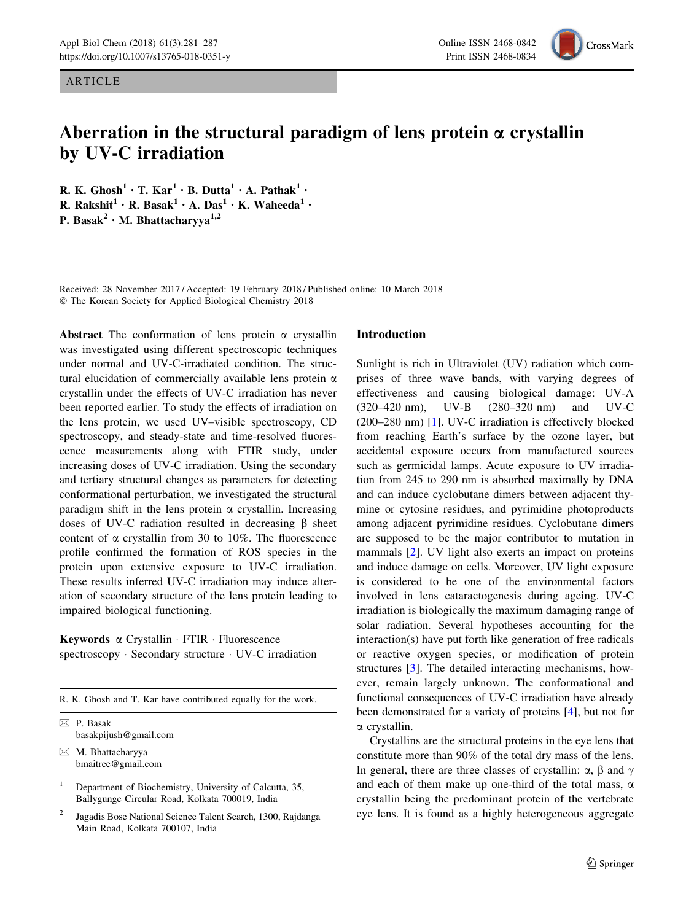ARTICLE

# Aberration in the structural paradigm of lens protein  $\alpha$  crystallin by UV-C irradiation

R. K. Ghosh<sup>1</sup> · T. Kar<sup>1</sup> · B. Dutta<sup>1</sup> · A. Pathak<sup>1</sup> · R. Rakshit<sup>1</sup> · R. Basak<sup>1</sup> · A. Das<sup>1</sup> · K. Waheeda<sup>1</sup> · P. Basak<sup>2</sup> · M. Bhattacharyya<sup>1,2</sup>

Received: 28 November 2017 / Accepted: 19 February 2018 / Published online: 10 March 2018 - The Korean Society for Applied Biological Chemistry 2018

Abstract The conformation of lens protein  $\alpha$  crystallin was investigated using different spectroscopic techniques under normal and UV-C-irradiated condition. The structural elucidation of commercially available lens protein  $\alpha$ crystallin under the effects of UV-C irradiation has never been reported earlier. To study the effects of irradiation on the lens protein, we used UV–visible spectroscopy, CD spectroscopy, and steady-state and time-resolved fluorescence measurements along with FTIR study, under increasing doses of UV-C irradiation. Using the secondary and tertiary structural changes as parameters for detecting conformational perturbation, we investigated the structural paradigm shift in the lens protein  $\alpha$  crystallin. Increasing doses of UV-C radiation resulted in decreasing  $\beta$  sheet content of  $\alpha$  crystallin from 30 to 10%. The fluorescence profile confirmed the formation of ROS species in the protein upon extensive exposure to UV-C irradiation. These results inferred UV-C irradiation may induce alteration of secondary structure of the lens protein leading to impaired biological functioning.

Keywords a Crystallin · FTIR · Fluorescence spectroscopy - Secondary structure - UV-C irradiation

R. K. Ghosh and T. Kar have contributed equally for the work.

& P. Basak basakpijush@gmail.com

 $\boxtimes$  M. Bhattacharyya bmaitree@gmail.com

Department of Biochemistry, University of Calcutta, 35, Ballygunge Circular Road, Kolkata 700019, India

<sup>2</sup> Jagadis Bose National Science Talent Search, 1300, Rajdanga Main Road, Kolkata 700107, India

## Introduction

Sunlight is rich in Ultraviolet (UV) radiation which comprises of three wave bands, with varying degrees of effectiveness and causing biological damage: UV-A (320–420 nm), UV-B (280–320 nm) and UV-C (200–280 nm) [\[1](#page-5-0)]. UV-C irradiation is effectively blocked from reaching Earth's surface by the ozone layer, but accidental exposure occurs from manufactured sources such as germicidal lamps. Acute exposure to UV irradiation from 245 to 290 nm is absorbed maximally by DNA and can induce cyclobutane dimers between adjacent thymine or cytosine residues, and pyrimidine photoproducts among adjacent pyrimidine residues. Cyclobutane dimers are supposed to be the major contributor to mutation in mammals [\[2](#page-5-0)]. UV light also exerts an impact on proteins and induce damage on cells. Moreover, UV light exposure is considered to be one of the environmental factors involved in lens cataractogenesis during ageing. UV-C irradiation is biologically the maximum damaging range of solar radiation. Several hypotheses accounting for the interaction(s) have put forth like generation of free radicals or reactive oxygen species, or modification of protein structures [\[3](#page-5-0)]. The detailed interacting mechanisms, however, remain largely unknown. The conformational and functional consequences of UV-C irradiation have already been demonstrated for a variety of proteins [\[4](#page-5-0)], but not for a crystallin.

Crystallins are the structural proteins in the eye lens that constitute more than 90% of the total dry mass of the lens. In general, there are three classes of crystallin:  $\alpha$ ,  $\beta$  and  $\gamma$ and each of them make up one-third of the total mass,  $\alpha$ crystallin being the predominant protein of the vertebrate eye lens. It is found as a highly heterogeneous aggregate



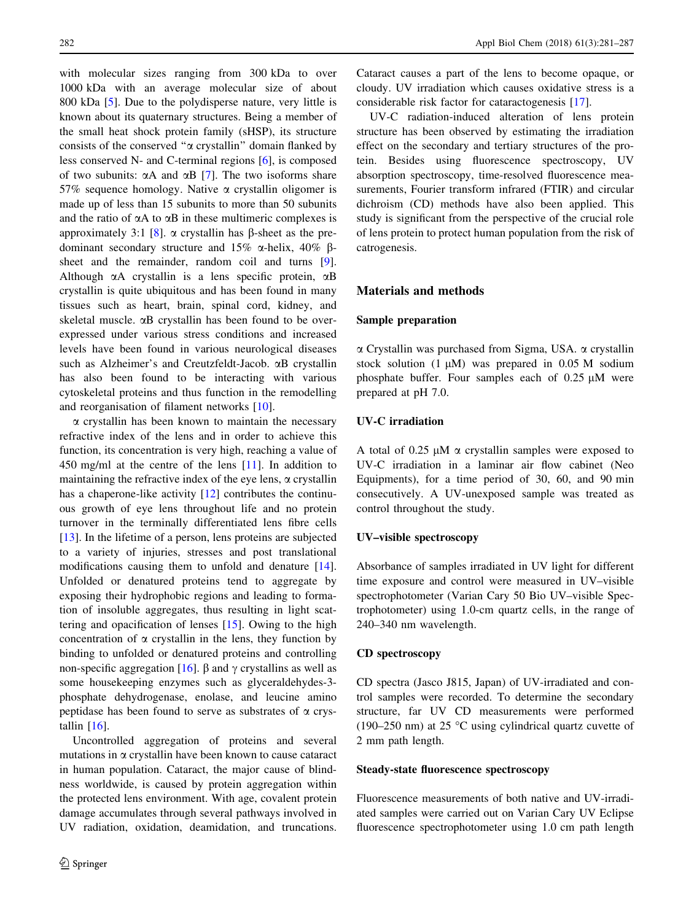with molecular sizes ranging from 300 kDa to over 1000 kDa with an average molecular size of about 800 kDa [[5\]](#page-5-0). Due to the polydisperse nature, very little is known about its quaternary structures. Being a member of the small heat shock protein family (sHSP), its structure consists of the conserved ''a crystallin'' domain flanked by less conserved N- and C-terminal regions [\[6](#page-5-0)], is composed of two subunits:  $\alpha A$  and  $\alpha B$  [\[7](#page-5-0)]. The two isoforms share 57% sequence homology. Native  $\alpha$  crystallin oligomer is made up of less than 15 subunits to more than 50 subunits and the ratio of  $\alpha A$  to  $\alpha B$  in these multimeric complexes is approximately 3:1 [[8\]](#page-5-0).  $\alpha$  crystallin has  $\beta$ -sheet as the predominant secondary structure and 15%  $\alpha$ -helix, 40%  $\beta$ -sheet and the remainder, random coil and turns [\[9](#page-5-0)]. Although  $\alpha$ A crystallin is a lens specific protein,  $\alpha$ B crystallin is quite ubiquitous and has been found in many tissues such as heart, brain, spinal cord, kidney, and skeletal muscle.  $\alpha$ B crystallin has been found to be overexpressed under various stress conditions and increased levels have been found in various neurological diseases such as Alzheimer's and Creutzfeldt-Jacob. aB crystallin has also been found to be interacting with various cytoskeletal proteins and thus function in the remodelling and reorganisation of filament networks [\[10](#page-5-0)].

 $\alpha$  crystallin has been known to maintain the necessary refractive index of the lens and in order to achieve this function, its concentration is very high, reaching a value of 450 mg/ml at the centre of the lens [[11\]](#page-5-0). In addition to maintaining the refractive index of the eye lens,  $\alpha$  crystallin has a chaperone-like activity [\[12](#page-5-0)] contributes the continuous growth of eye lens throughout life and no protein turnover in the terminally differentiated lens fibre cells [\[13](#page-5-0)]. In the lifetime of a person, lens proteins are subjected to a variety of injuries, stresses and post translational modifications causing them to unfold and denature [\[14](#page-5-0)]. Unfolded or denatured proteins tend to aggregate by exposing their hydrophobic regions and leading to formation of insoluble aggregates, thus resulting in light scattering and opacification of lenses [\[15](#page-5-0)]. Owing to the high concentration of  $\alpha$  crystallin in the lens, they function by binding to unfolded or denatured proteins and controlling non-specific aggregation [[16\]](#page-5-0).  $\beta$  and  $\gamma$  crystallins as well as some housekeeping enzymes such as glyceraldehydes-3 phosphate dehydrogenase, enolase, and leucine amino peptidase has been found to serve as substrates of  $\alpha$  crystallin  $[16]$  $[16]$ .

Uncontrolled aggregation of proteins and several mutations in  $\alpha$  crystallin have been known to cause cataract in human population. Cataract, the major cause of blindness worldwide, is caused by protein aggregation within the protected lens environment. With age, covalent protein damage accumulates through several pathways involved in UV radiation, oxidation, deamidation, and truncations. Cataract causes a part of the lens to become opaque, or cloudy. UV irradiation which causes oxidative stress is a considerable risk factor for cataractogenesis [\[17](#page-5-0)].

UV-C radiation-induced alteration of lens protein structure has been observed by estimating the irradiation effect on the secondary and tertiary structures of the protein. Besides using fluorescence spectroscopy, UV absorption spectroscopy, time-resolved fluorescence measurements, Fourier transform infrared (FTIR) and circular dichroism (CD) methods have also been applied. This study is significant from the perspective of the crucial role of lens protein to protect human population from the risk of catrogenesis.

# Materials and methods

# Sample preparation

a Crystallin was purchased from Sigma, USA. a crystallin stock solution  $(1 \mu M)$  was prepared in 0.05 M sodium phosphate buffer. Four samples each of  $0.25 \mu M$  were prepared at pH 7.0.

# UV-C irradiation

A total of 0.25  $\mu$ M  $\alpha$  crystallin samples were exposed to UV-C irradiation in a laminar air flow cabinet (Neo Equipments), for a time period of 30, 60, and 90 min consecutively. A UV-unexposed sample was treated as control throughout the study.

#### UV–visible spectroscopy

Absorbance of samples irradiated in UV light for different time exposure and control were measured in UV–visible spectrophotometer (Varian Cary 50 Bio UV–visible Spectrophotometer) using 1.0-cm quartz cells, in the range of 240–340 nm wavelength.

# CD spectroscopy

CD spectra (Jasco J815, Japan) of UV-irradiated and control samples were recorded. To determine the secondary structure, far UV CD measurements were performed (190–250 nm) at 25  $\degree$ C using cylindrical quartz cuvette of 2 mm path length.

#### Steady-state fluorescence spectroscopy

Fluorescence measurements of both native and UV-irradiated samples were carried out on Varian Cary UV Eclipse fluorescence spectrophotometer using 1.0 cm path length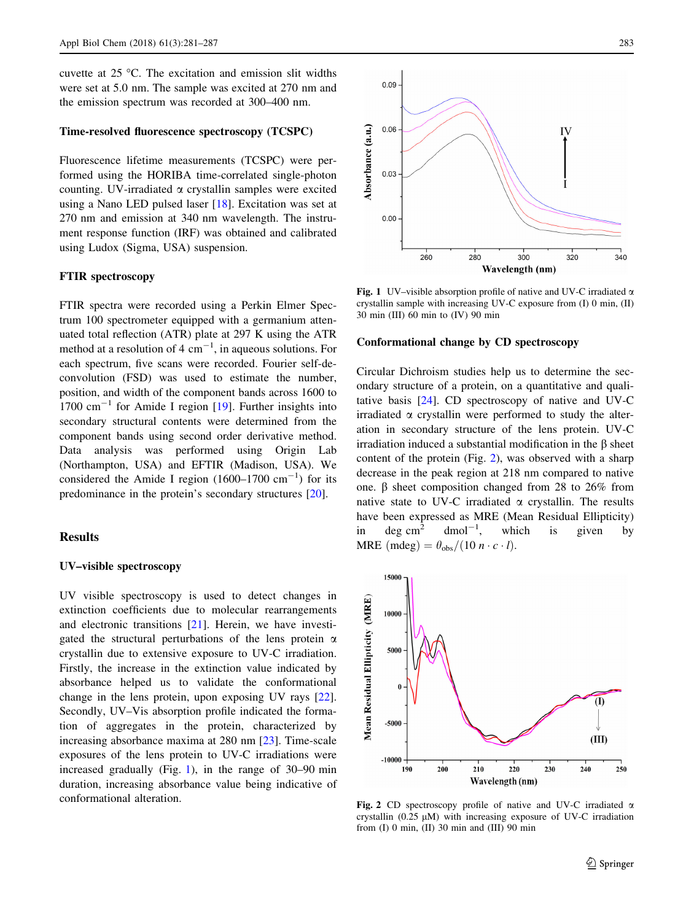cuvette at  $25^{\circ}$ C. The excitation and emission slit widths were set at 5.0 nm. The sample was excited at 270 nm and the emission spectrum was recorded at 300–400 nm.

# Time-resolved fluorescence spectroscopy (TCSPC)

Fluorescence lifetime measurements (TCSPC) were performed using the HORIBA time-correlated single-photon counting. UV-irradiated  $\alpha$  crystallin samples were excited using a Nano LED pulsed laser [\[18](#page-5-0)]. Excitation was set at 270 nm and emission at 340 nm wavelength. The instrument response function (IRF) was obtained and calibrated using Ludox (Sigma, USA) suspension.

## FTIR spectroscopy

FTIR spectra were recorded using a Perkin Elmer Spectrum 100 spectrometer equipped with a germanium attenuated total reflection (ATR) plate at 297 K using the ATR method at a resolution of 4  $cm^{-1}$ , in aqueous solutions. For each spectrum, five scans were recorded. Fourier self-deconvolution (FSD) was used to estimate the number, position, and width of the component bands across 1600 to 1700  $\text{cm}^{-1}$  for Amide I region [[19\]](#page-5-0). Further insights into secondary structural contents were determined from the component bands using second order derivative method. Data analysis was performed using Origin Lab (Northampton, USA) and EFTIR (Madison, USA). We considered the Amide I region  $(1600-1700 \text{ cm}^{-1})$  for its predominance in the protein's secondary structures [\[20](#page-5-0)].

## Results

#### UV–visible spectroscopy

UV visible spectroscopy is used to detect changes in extinction coefficients due to molecular rearrangements and electronic transitions [\[21](#page-5-0)]. Herein, we have investigated the structural perturbations of the lens protein  $\alpha$ crystallin due to extensive exposure to UV-C irradiation. Firstly, the increase in the extinction value indicated by absorbance helped us to validate the conformational change in the lens protein, upon exposing UV rays [\[22](#page-5-0)]. Secondly, UV–Vis absorption profile indicated the formation of aggregates in the protein, characterized by increasing absorbance maxima at 280 nm [[23\]](#page-5-0). Time-scale exposures of the lens protein to UV-C irradiations were increased gradually (Fig. 1), in the range of 30–90 min duration, increasing absorbance value being indicative of conformational alteration.



Fig. 1 UV–visible absorption profile of native and UV-C irradiated  $\alpha$ crystallin sample with increasing UV-C exposure from (I) 0 min, (II) 30 min (III) 60 min to (IV) 90 min

#### Conformational change by CD spectroscopy

Circular Dichroism studies help us to determine the secondary structure of a protein, on a quantitative and qualitative basis [[24\]](#page-5-0). CD spectroscopy of native and UV-C irradiated  $\alpha$  crystallin were performed to study the alteration in secondary structure of the lens protein. UV-C irradiation induced a substantial modification in the  $\beta$  sheet content of the protein (Fig. 2), was observed with a sharp decrease in the peak region at 218 nm compared to native one.  $\beta$  sheet composition changed from 28 to 26% from native state to UV-C irradiated  $\alpha$  crystallin. The results have been expressed as MRE (Mean Residual Ellipticity) in deg cm<sup>2</sup> dmol<sup>-1</sup>, which is given by MRE (mdeg) =  $\theta_{\rm obs}/(10 n \cdot c \cdot l)$ .



Fig. 2 CD spectroscopy profile of native and UV-C irradiated  $\alpha$ crystallin  $(0.25 \mu M)$  with increasing exposure of UV-C irradiation from  $(I)$  0 min,  $(II)$  30 min and  $(III)$  90 min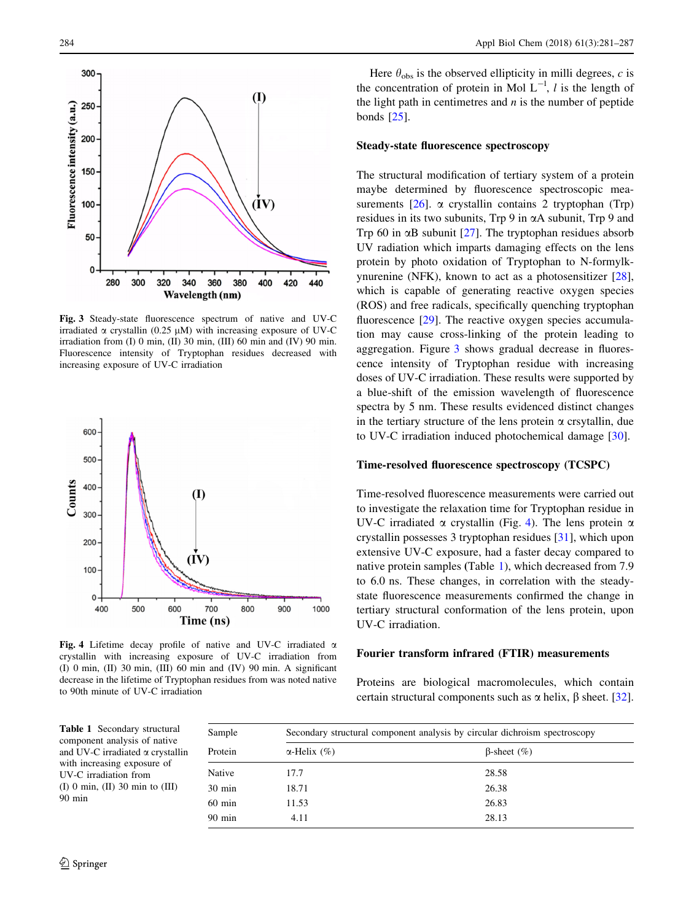

Fig. 3 Steady-state fluorescence spectrum of native and UV-C irradiated  $\alpha$  crystallin (0.25  $\mu$ M) with increasing exposure of UV-C irradiation from (I) 0 min, (II) 30 min, (III) 60 min and (IV) 90 min. Fluorescence intensity of Tryptophan residues decreased with increasing exposure of UV-C irradiation



Fig. 4 Lifetime decay profile of native and UV-C irradiated  $\alpha$ crystallin with increasing exposure of UV-C irradiation from (I) 0 min, (II) 30 min, (III) 60 min and (IV) 90 min. A significant decrease in the lifetime of Tryptophan residues from was noted native to 90th minute of UV-C irradiation

Here  $\theta_{obs}$  is the observed ellipticity in milli degrees, c is the concentration of protein in Mol  $L^{-1}$ , l is the length of the light path in centimetres and  $n$  is the number of peptide bonds [[25\]](#page-5-0).

# Steady-state fluorescence spectroscopy

The structural modification of tertiary system of a protein maybe determined by fluorescence spectroscopic measurements  $[26]$  $[26]$ .  $\alpha$  crystallin contains 2 tryptophan (Trp) residues in its two subunits,  $Trp 9$  in  $\alpha$ A subunit,  $Trp 9$  and Trp 60 in  $\alpha$ B subunit [\[27](#page-5-0)]. The tryptophan residues absorb UV radiation which imparts damaging effects on the lens protein by photo oxidation of Tryptophan to N-formylkynurenine (NFK), known to act as a photosensitizer [\[28](#page-5-0)], which is capable of generating reactive oxygen species (ROS) and free radicals, specifically quenching tryptophan fluorescence [\[29](#page-5-0)]. The reactive oxygen species accumulation may cause cross-linking of the protein leading to aggregation. Figure 3 shows gradual decrease in fluorescence intensity of Tryptophan residue with increasing doses of UV-C irradiation. These results were supported by a blue-shift of the emission wavelength of fluorescence spectra by 5 nm. These results evidenced distinct changes in the tertiary structure of the lens protein  $\alpha$  crsytallin, due to UV-C irradiation induced photochemical damage [\[30](#page-6-0)].

## Time-resolved fluorescence spectroscopy (TCSPC)

Time-resolved fluorescence measurements were carried out to investigate the relaxation time for Tryptophan residue in UV-C irradiated  $\alpha$  crystallin (Fig. 4). The lens protein  $\alpha$ crystallin possesses 3 tryptophan residues [[31\]](#page-6-0), which upon extensive UV-C exposure, had a faster decay compared to native protein samples (Table 1), which decreased from 7.9 to 6.0 ns. These changes, in correlation with the steadystate fluorescence measurements confirmed the change in tertiary structural conformation of the lens protein, upon UV-C irradiation.

### Fourier transform infrared (FTIR) measurements

Proteins are biological macromolecules, which contain certain structural components such as  $\alpha$  helix,  $\beta$  sheet. [\[32](#page-6-0)].

Table 1 Secondary structural component analysis of native and UV-C irradiated  $\alpha$  crystallin with increasing exposure of UV-C irradiation from (I) 0 min, (II) 30 min to (III) 90 min

| Sample<br>Protein | Secondary structural component analysis by circular dichroism spectroscopy |                        |  |  |
|-------------------|----------------------------------------------------------------------------|------------------------|--|--|
|                   | $\alpha$ -Helix $(\% )$                                                    | $\beta$ -sheet $(\% )$ |  |  |
| Native            | 17.7                                                                       | 28.58                  |  |  |
| 30 min            | 18.71                                                                      | 26.38                  |  |  |
| 60 min            | 11.53                                                                      | 26.83                  |  |  |
| 90 min            | 4.11                                                                       | 28.13                  |  |  |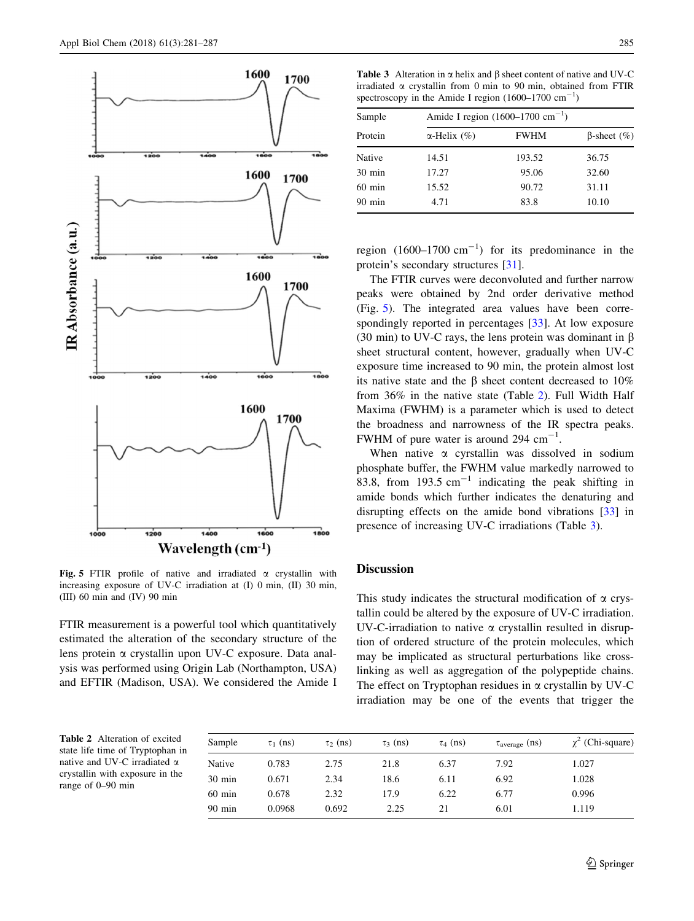

Fig. 5 FTIR profile of native and irradiated  $\alpha$  crystallin with increasing exposure of UV-C irradiation at (I) 0 min, (II) 30 min, (III) 60 min and (IV) 90 min

FTIR measurement is a powerful tool which quantitatively estimated the alteration of the secondary structure of the lens protein a crystallin upon UV-C exposure. Data analysis was performed using Origin Lab (Northampton, USA) and EFTIR (Madison, USA). We considered the Amide I

Table 3 Alteration in  $\alpha$  helix and  $\beta$  sheet content of native and UV-C irradiated  $\alpha$  crystallin from 0 min to 90 min, obtained from FTIR spectroscopy in the Amide I region  $(1600-1700 \text{ cm}^{-1})$ 

| Sample           | Amide I region $(1600-1700 \text{ cm}^{-1})$ |             |                       |
|------------------|----------------------------------------------|-------------|-----------------------|
| Protein          | $\alpha$ -Helix $(\% )$                      | <b>FWHM</b> | $\beta$ -sheet $(\%)$ |
| Native           | 14.51                                        | 193.52      | 36.75                 |
| $30 \text{ min}$ | 17.27                                        | 95.06       | 32.60                 |
| $60 \text{ min}$ | 15.52                                        | 90.72       | 31.11                 |
| $90$ min         | 4.71                                         | 83.8        | 10.10                 |

region  $(1600-1700 \text{ cm}^{-1})$  for its predominance in the protein's secondary structures [\[31](#page-6-0)].

The FTIR curves were deconvoluted and further narrow peaks were obtained by 2nd order derivative method (Fig. 5). The integrated area values have been correspondingly reported in percentages [[33\]](#page-6-0). At low exposure (30 min) to UV-C rays, the lens protein was dominant in  $\beta$ sheet structural content, however, gradually when UV-C exposure time increased to 90 min, the protein almost lost its native state and the  $\beta$  sheet content decreased to 10% from 36% in the native state (Table 2). Full Width Half Maxima (FWHM) is a parameter which is used to detect the broadness and narrowness of the IR spectra peaks. FWHM of pure water is around 294  $cm^{-1}$ .

When native  $\alpha$  cyrstallin was dissolved in sodium phosphate buffer, the FWHM value markedly narrowed to 83.8, from  $193.5 \text{ cm}^{-1}$  indicating the peak shifting in amide bonds which further indicates the denaturing and disrupting effects on the amide bond vibrations [\[33](#page-6-0)] in presence of increasing UV-C irradiations (Table 3).

## **Discussion**

This study indicates the structural modification of  $\alpha$  crystallin could be altered by the exposure of UV-C irradiation. UV-C-irradiation to native  $\alpha$  crystallin resulted in disruption of ordered structure of the protein molecules, which may be implicated as structural perturbations like crosslinking as well as aggregation of the polypeptide chains. The effect on Tryptophan residues in  $\alpha$  crystallin by UV-C irradiation may be one of the events that trigger the

Table 2 Alteration of excited state life time of Tryptophan in native and UV-C irradiated  $\alpha$ crystallin with exposure in the range of 0–90 min

| Sample           | $\tau_1$ (ns) | $\tau_2$ (ns) | $\tau_3$ (ns) | $\tau_4$ (ns) | $\tau_{\text{average}}$ (ns) | $\chi^2$ (Chi-square) |
|------------------|---------------|---------------|---------------|---------------|------------------------------|-----------------------|
| Native           | 0.783         | 2.75          | 21.8          | 6.37          | 7.92                         | 1.027                 |
| $30 \text{ min}$ | 0.671         | 2.34          | 18.6          | 6.11          | 6.92                         | 1.028                 |
| $60 \text{ min}$ | 0.678         | 2.32          | 17.9          | 6.22          | 6.77                         | 0.996                 |
| $90 \text{ min}$ | 0.0968        | 0.692         | 2.25          | 21            | 6.01                         | 1.119                 |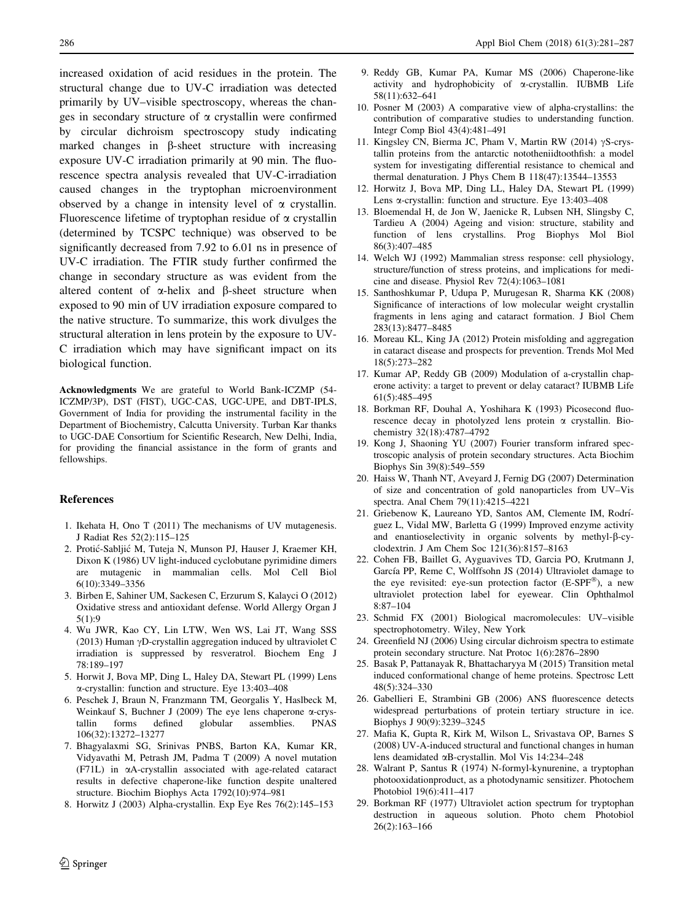<span id="page-5-0"></span>increased oxidation of acid residues in the protein. The structural change due to UV-C irradiation was detected primarily by UV–visible spectroscopy, whereas the changes in secondary structure of  $\alpha$  crystallin were confirmed by circular dichroism spectroscopy study indicating marked changes in  $\beta$ -sheet structure with increasing exposure UV-C irradiation primarily at 90 min. The fluorescence spectra analysis revealed that UV-C-irradiation caused changes in the tryptophan microenvironment observed by a change in intensity level of  $\alpha$  crystallin. Fluorescence lifetime of tryptophan residue of  $\alpha$  crystallin (determined by TCSPC technique) was observed to be significantly decreased from 7.92 to 6.01 ns in presence of UV-C irradiation. The FTIR study further confirmed the change in secondary structure as was evident from the altered content of  $\alpha$ -helix and  $\beta$ -sheet structure when exposed to 90 min of UV irradiation exposure compared to the native structure. To summarize, this work divulges the structural alteration in lens protein by the exposure to UV-C irradiation which may have significant impact on its biological function.

Acknowledgments We are grateful to World Bank-ICZMP (54- ICZMP/3P), DST (FIST), UGC-CAS, UGC-UPE, and DBT-IPLS, Government of India for providing the instrumental facility in the Department of Biochemistry, Calcutta University. Turban Kar thanks to UGC-DAE Consortium for Scientific Research, New Delhi, India, for providing the financial assistance in the form of grants and fellowships.

#### References

- 1. Ikehata H, Ono T (2011) The mechanisms of UV mutagenesis. J Radiat Res 52(2):115–125
- 2. Protic´-Sabljic´ M, Tuteja N, Munson PJ, Hauser J, Kraemer KH, Dixon K (1986) UV light-induced cyclobutane pyrimidine dimers are mutagenic in mammalian cells. Mol Cell Biol 6(10):3349–3356
- 3. Birben E, Sahiner UM, Sackesen C, Erzurum S, Kalayci O (2012) Oxidative stress and antioxidant defense. World Allergy Organ J 5(1):9
- 4. Wu JWR, Kao CY, Lin LTW, Wen WS, Lai JT, Wang SSS (2013) Human  $\gamma$ D-crystallin aggregation induced by ultraviolet C irradiation is suppressed by resveratrol. Biochem Eng J 78:189–197
- 5. Horwit J, Bova MP, Ding L, Haley DA, Stewart PL (1999) Lens a-crystallin: function and structure. Eye 13:403–408
- 6. Peschek J, Braun N, Franzmann TM, Georgalis Y, Haslbeck M, Weinkauf S, Buchner J (2009) The eye lens chaperone a-crystallin forms defined globular assemblies. PNAS 106(32):13272–13277
- 7. Bhagyalaxmi SG, Srinivas PNBS, Barton KA, Kumar KR, Vidyavathi M, Petrash JM, Padma T (2009) A novel mutation (F71L) in aA-crystallin associated with age-related cataract results in defective chaperone-like function despite unaltered structure. Biochim Biophys Acta 1792(10):974–981
- 8. Horwitz J (2003) Alpha-crystallin. Exp Eye Res 76(2):145–153
- 9. Reddy GB, Kumar PA, Kumar MS (2006) Chaperone-like activity and hydrophobicity of a-crystallin. IUBMB Life 58(11):632–641
- 10. Posner M (2003) A comparative view of alpha-crystallins: the contribution of comparative studies to understanding function. Integr Comp Biol 43(4):481–491
- 11. Kingsley CN, Bierma JC, Pham V, Martin RW (2014)  $\gamma$ S-crystallin proteins from the antarctic nototheniidtoothfish: a model system for investigating differential resistance to chemical and thermal denaturation. J Phys Chem B 118(47):13544–13553
- 12. Horwitz J, Bova MP, Ding LL, Haley DA, Stewart PL (1999) Lens a-crystallin: function and structure. Eye 13:403–408
- 13. Bloemendal H, de Jon W, Jaenicke R, Lubsen NH, Slingsby C, Tardieu A (2004) Ageing and vision: structure, stability and function of lens crystallins. Prog Biophys Mol Biol 86(3):407–485
- 14. Welch WJ (1992) Mammalian stress response: cell physiology, structure/function of stress proteins, and implications for medicine and disease. Physiol Rev 72(4):1063–1081
- 15. Santhoshkumar P, Udupa P, Murugesan R, Sharma KK (2008) Significance of interactions of low molecular weight crystallin fragments in lens aging and cataract formation. J Biol Chem 283(13):8477–8485
- 16. Moreau KL, King JA (2012) Protein misfolding and aggregation in cataract disease and prospects for prevention. Trends Mol Med 18(5):273–282
- 17. Kumar AP, Reddy GB (2009) Modulation of a-crystallin chaperone activity: a target to prevent or delay cataract? IUBMB Life 61(5):485–495
- 18. Borkman RF, Douhal A, Yoshihara K (1993) Picosecond fluorescence decay in photolyzed lens protein  $\alpha$  crystallin. Biochemistry 32(18):4787–4792
- 19. Kong J, Shaoning YU (2007) Fourier transform infrared spectroscopic analysis of protein secondary structures. Acta Biochim Biophys Sin 39(8):549–559
- 20. Haiss W, Thanh NT, Aveyard J, Fernig DG (2007) Determination of size and concentration of gold nanoparticles from UV–Vis spectra. Anal Chem 79(11):4215–4221
- 21. Griebenow K, Laureano YD, Santos AM, Clemente IM, Rodrı´ guez L, Vidal MW, Barletta G (1999) Improved enzyme activity and enantioselectivity in organic solvents by methyl- $\beta$ -cyclodextrin. J Am Chem Soc 121(36):8157–8163
- 22. Cohen FB, Baillet G, Ayguavives TD, Garcia PO, Krutmann J, García PP, Reme C, Wolffsohn JS (2014) Ultraviolet damage to the eye revisited: eye-sun protection factor  $(E-SPF^{\circledR})$ , a new ultraviolet protection label for eyewear. Clin Ophthalmol 8:87–104
- 23. Schmid FX (2001) Biological macromolecules: UV–visible spectrophotometry. Wiley, New York
- 24. Greenfield NJ (2006) Using circular dichroism spectra to estimate protein secondary structure. Nat Protoc 1(6):2876–2890
- 25. Basak P, Pattanayak R, Bhattacharyya M (2015) Transition metal induced conformational change of heme proteins. Spectrosc Lett 48(5):324–330
- 26. Gabellieri E, Strambini GB (2006) ANS fluorescence detects widespread perturbations of protein tertiary structure in ice. Biophys J 90(9):3239–3245
- 27. Mafia K, Gupta R, Kirk M, Wilson L, Srivastava OP, Barnes S (2008) UV-A-induced structural and functional changes in human lens deamidated aB-crystallin. Mol Vis 14:234–248
- 28. Walrant P, Santus R (1974) N-formyl-kynurenine, a tryptophan photooxidationproduct, as a photodynamic sensitizer. Photochem Photobiol 19(6):411–417
- 29. Borkman RF (1977) Ultraviolet action spectrum for tryptophan destruction in aqueous solution. Photo chem Photobiol 26(2):163–166